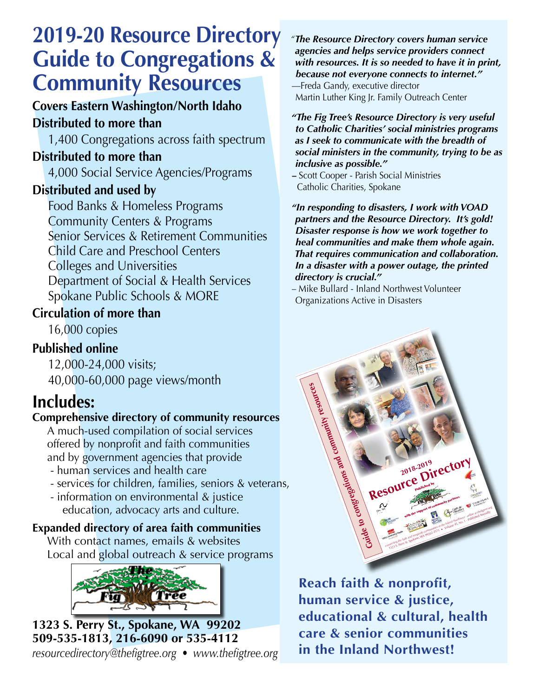# **2019-20 Resource Directory Guide to Congregations & Community Resources**

### **Covers Eastern Washington/North Idaho Distributed to more than**

1,400 Congregations across faith spectrum

### **Distributed to more than**

4,000 Social Service Agencies/Programs

### **Distributed and used by**

Food Banks & Homeless Programs Community Centers & Programs Senior Services & Retirement Communities Child Care and Preschool Centers Colleges and Universities Department of Social & Health Services Spokane Public Schools & MORE

### **Circulation of more than**

16,000 copies

### **Published online**

12,000-24,000 visits; 40,000-60,000 page views/month

## **Includes:**

### **Comprehensive directory of community resources**

A much-used compilation of social services offered by nonprofit and faith communities and by government agencies that provide

- human services and health care
- services for children, families, seniors & veterans,
- information on environmental & justice education, advocacy arts and culture.

### **Expanded directory of area faith communities**

With contact names, emails & websites Local and global outreach & service programs



**1323 S. Perry St., Spokane, WA 99202 509-535-1813, 216-6090 or 535-4112**  *resourcedirectory@thefigtree.org • www.thefigtree.org* *"The Resource Directory covers human service agencies and helps service providers connect with resources. It is so needed to have it in print, because not everyone connects to internet."* 

—Freda Gandy, executive director Martin Luther King Jr. Family Outreach Center

*"The Fig Tree's Resource Directory is very useful to Catholic Charities' social ministries programs as I seek to communicate with the breadth of social ministers in the community, trying to be as inclusive as possible."*

**–** Scott Cooper - Parish Social Ministries Catholic Charities, Spokane

*"In responding to disasters, I work with VOAD partners and the Resource Directory. It's gold! Disaster response is how we work together to heal communities and make them whole again. That requires communication and collaboration. In a disaster with a power outage, the printed directory is crucial."*

– Mike Bullard - Inland Northwest Volunteer Organizations Active in Disasters



**Reach faith & nonprofit, human service & justice, educational & cultural, health care & senior communities in the Inland Northwest!**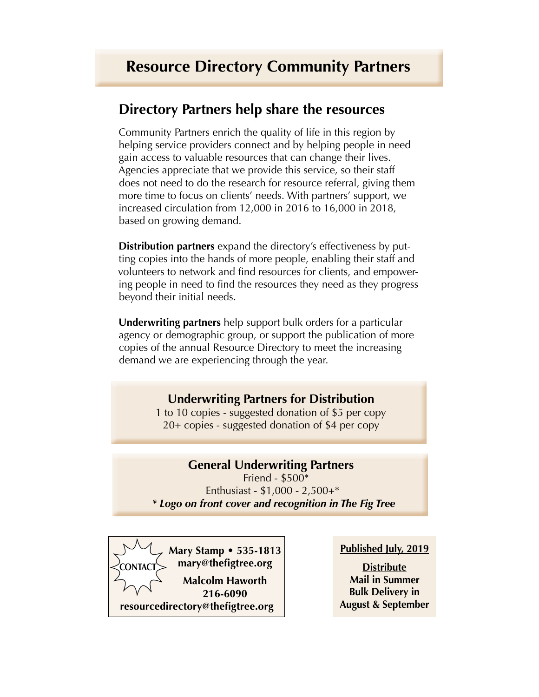### **Directory Partners help share the resources**

Community Partners enrich the quality of life in this region by helping service providers connect and by helping people in need gain access to valuable resources that can change their lives. Agencies appreciate that we provide this service, so their staff does not need to do the research for resource referral, giving them more time to focus on clients' needs. With partners' support, we increased circulation from 12,000 in 2016 to 16,000 in 2018, based on growing demand.

**Distribution partners** expand the directory's effectiveness by putting copies into the hands of more people, enabling their staff and volunteers to network and find resources for clients, and empowering people in need to find the resources they need as they progress beyond their initial needs.

**Underwriting partners** help support bulk orders for a particular agency or demographic group, or support the publication of more copies of the annual Resource Directory to meet the increasing demand we are experiencing through the year.

### **Underwriting Partners for Distribution**

1 to 10 copies - suggested donation of \$5 per copy 20+ copies - suggested donation of \$4 per copy

### **General Underwriting Partners**

Friend - \$500\* Enthusiast - \$1,000 - 2,500+\* *\* Logo on front cover and recognition in The Fig Tree*



#### **Published July, 2019**

**Distribute Mail in Summer Bulk Delivery in August & September**